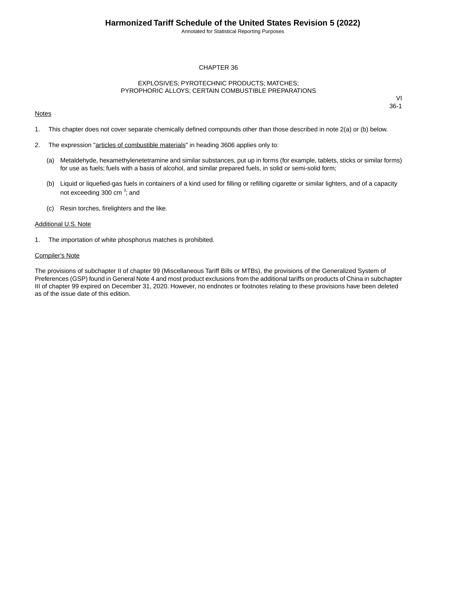Annotated for Statistical Reporting Purposes

## CHAPTER 36

### EXPLOSIVES; PYROTECHNIC PRODUCTS; MATCHES; PYROPHORIC ALLOYS; CERTAIN COMBUSTIBLE PREPARATIONS

### **Notes**

VI 36-1

- 1. This chapter does not cover separate chemically defined compounds other than those described in note 2(a) or (b) below.
- 2. The expression "articles of combustible materials" in heading 3606 applies only to:
	- (a) Metaldehyde, hexamethylenetetramine and similar substances, put up in forms (for example, tablets, sticks or similar forms) for use as fuels; fuels with a basis of alcohol, and similar prepared fuels, in solid or semi-solid form;
	- (b) Liquid or liquefied-gas fuels in containers of a kind used for filling or refilling cigarette or similar lighters, and of a capacity not exceeding 300 cm<sup>3</sup>; and
	- (c) Resin torches, firelighters and the like.

#### Additional U.S. Note

1. The importation of white phosphorus matches is prohibited.

#### Compiler's Note

The provisions of subchapter II of chapter 99 (Miscellaneous Tariff Bills or MTBs), the provisions of the Generalized System of Preferences (GSP) found in General Note 4 and most product exclusions from the additional tariffs on products of China in subchapter III of chapter 99 expired on December 31, 2020. However, no endnotes or footnotes relating to these provisions have been deleted as of the issue date of this edition.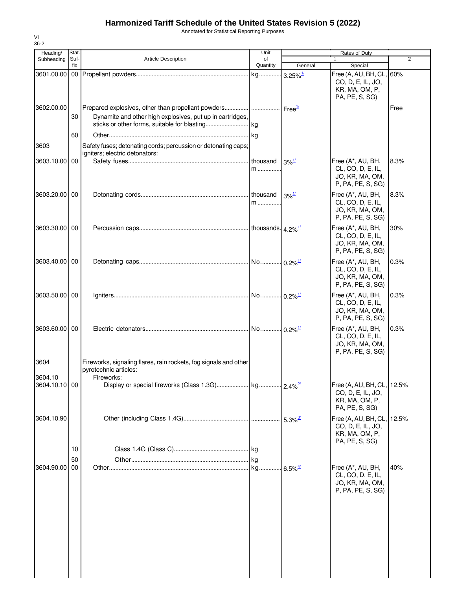# **Harmonized Tariff Schedule of the United States Revision 5 (2022)**

VI

Annotated for Statistical Reporting Purposes

| $36 - 2$        |                |                                                                                                                  |                     |                                  |                                                                                     |       |
|-----------------|----------------|------------------------------------------------------------------------------------------------------------------|---------------------|----------------------------------|-------------------------------------------------------------------------------------|-------|
| Heading/        | Stat.          |                                                                                                                  | Unit                |                                  | Rates of Duty                                                                       |       |
| Subheading      | Suf-<br>fix    | Article Description                                                                                              | of<br>Quantity      | General                          | $\mathbf{1}$<br>Special                                                             | 2     |
| 3601.00.00      |                |                                                                                                                  | kg                  | $3.25\%$ <sup>1/</sup>           | Free (A, AU, BH, CL,<br>CO, D, E, IL, JO,<br>KR, MA, OM, P,<br>PA, PE, S, SG)       | 60%   |
| 3602.00.00      | 30             | Prepared explosives, other than propellant powders <br>Dynamite and other high explosives, put up in cartridges, |                     | Free <sup>1/</sup>               |                                                                                     | Free  |
| 3603            | 60             | Safety fuses; detonating cords; percussion or detonating caps;                                                   |                     |                                  |                                                                                     |       |
| 3603.10.00      | 00             | igniters; electric detonators:                                                                                   | m                   | $3\%$ <sup>1/</sup>              | Free (A*, AU, BH,<br>CL, CO, D, E, IL,<br>JO, KR, MA, OM,<br>P, PA, PE, S, SG)      | 8.3%  |
| 3603.20.00 00   |                |                                                                                                                  | m                   | $3\%$ <sup><math>1/</math></sup> | Free (A*, AU, BH,<br>CL, CO, D, E, IL,<br>JO, KR, MA, OM,<br>P, PA, PE, S, SG)      | 8.3%  |
| 3603.30.00 00   |                |                                                                                                                  |                     |                                  | Free (A*, AU, BH,<br>CL, CO, D, E, IL,<br>JO, KR, MA, OM,<br>P, PA, PE, S, SG)      | 30%   |
| 3603.40.00 00   |                |                                                                                                                  |                     | $0.2\%$ <sup>1/</sup>            | Free (A*, AU, BH,<br>CL, CO, D, E, IL,<br>JO, KR, MA, OM,<br>P, PA, PE, S, SG)      | 0.3%  |
| 3603.50.00      | 00             |                                                                                                                  |                     | $0.2\%$ <sup>1/</sup>            | Free (A*, AU, BH,<br>CL, CO, D, E, IL,<br>JO, KR, MA, OM,<br>P, PA, PE, S, SG)      | 0.3%  |
| 3603.60.00      | 00             |                                                                                                                  |                     | $0.2\%$ <sup>1/</sup>            | Free (A*, AU, BH,<br>CL, CO, D, E, IL,<br>JO, KR, MA, OM,<br>P, PA, PE, S, SG)      | 0.3%  |
| 3604<br>3604.10 |                | Fireworks, signaling flares, rain rockets, fog signals and other<br>pyrotechnic articles:<br>Fireworks:          |                     |                                  |                                                                                     |       |
| 3604.10.10 00   |                |                                                                                                                  |                     |                                  | Free (A, AU, BH, CL, 12.5%<br>CO, D, E, IL, JO,<br>KR, MA, OM, P,<br>PA, PE, S, SG) |       |
| 3604.10.90      |                |                                                                                                                  |                     | $5.3\%$ <sup>3/</sup>            | Free (A, AU, BH, CL,<br>CO, D, E, IL, JO,<br>KR, MA, OM, P,<br>PA, PE, S, SG)       | 12.5% |
| 3604.90.00      | 10<br>50<br>00 |                                                                                                                  | <b>I</b> kg<br>lkg. | $6.5\%$ <sup>4/</sup>            | Free (A*, AU, BH,<br>CL, CO, D, E, IL,                                              | 40%   |
|                 |                |                                                                                                                  |                     |                                  | JO, KR, MA, OM,<br>P, PA, PE, S, SG)                                                |       |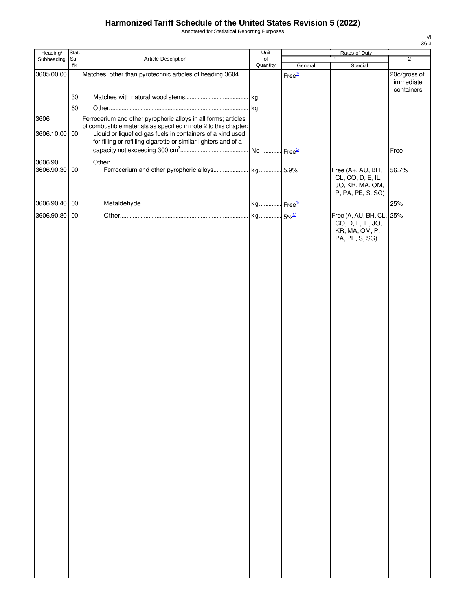# **Harmonized Tariff Schedule of the United States Revision 5 (2022)**

Annotated for Statistical Reporting Purposes

| Heading/                 | Stat.       |                                                                                                                               | Unit                  | Rates of Duty      |                          |                |
|--------------------------|-------------|-------------------------------------------------------------------------------------------------------------------------------|-----------------------|--------------------|--------------------------|----------------|
| Subheading               | Suf-<br>fix | Article Description                                                                                                           | of<br>Quantity        | General            | 1<br>Special             | $\overline{2}$ |
| 3605.00.00               |             | Matches, other than pyrotechnic articles of heading 3604                                                                      | .                     | Free <sup>1/</sup> |                          | 20¢/gross of   |
|                          |             |                                                                                                                               |                       |                    |                          | immediate      |
|                          |             |                                                                                                                               |                       |                    |                          | containers     |
|                          | 30          |                                                                                                                               | kg                    |                    |                          |                |
|                          | 60          |                                                                                                                               | kg                    |                    |                          |                |
| 3606                     |             | Ferrocerium and other pyrophoric alloys in all forms; articles                                                                |                       |                    |                          |                |
|                          |             | of combustible materials as specified in note 2 to this chapter:                                                              |                       |                    |                          |                |
| 3606.10.00 00            |             | Liquid or liquefied-gas fuels in containers of a kind used<br>for filling or refilling cigarette or similar lighters and of a |                       |                    |                          |                |
|                          |             |                                                                                                                               | No Free <sup>5/</sup> |                    |                          | Free           |
|                          |             |                                                                                                                               |                       |                    |                          |                |
| 3606.90<br>3606.90.30 00 |             | Other:                                                                                                                        |                       |                    | Free (A+, AU, BH,        | 56.7%          |
|                          |             |                                                                                                                               |                       |                    | CL, CO, D, E, IL,        |                |
|                          |             |                                                                                                                               |                       |                    | JO, KR, MA, OM,          |                |
|                          |             |                                                                                                                               |                       |                    | P, PA, PE, S, SG)        |                |
| 3606.90.40 00            |             |                                                                                                                               |                       |                    |                          | 25%            |
| 3606.90.80 00            |             |                                                                                                                               |                       |                    | Free (A, AU, BH, CL, 25% |                |
|                          |             |                                                                                                                               |                       |                    | CO, D, E, IL, JO,        |                |
|                          |             |                                                                                                                               |                       |                    | KR, MA, OM, P,           |                |
|                          |             |                                                                                                                               |                       |                    | PA, PE, S, SG)           |                |
|                          |             |                                                                                                                               |                       |                    |                          |                |
|                          |             |                                                                                                                               |                       |                    |                          |                |
|                          |             |                                                                                                                               |                       |                    |                          |                |
|                          |             |                                                                                                                               |                       |                    |                          |                |
|                          |             |                                                                                                                               |                       |                    |                          |                |
|                          |             |                                                                                                                               |                       |                    |                          |                |
|                          |             |                                                                                                                               |                       |                    |                          |                |
|                          |             |                                                                                                                               |                       |                    |                          |                |
|                          |             |                                                                                                                               |                       |                    |                          |                |
|                          |             |                                                                                                                               |                       |                    |                          |                |
|                          |             |                                                                                                                               |                       |                    |                          |                |
|                          |             |                                                                                                                               |                       |                    |                          |                |
|                          |             |                                                                                                                               |                       |                    |                          |                |
|                          |             |                                                                                                                               |                       |                    |                          |                |
|                          |             |                                                                                                                               |                       |                    |                          |                |
|                          |             |                                                                                                                               |                       |                    |                          |                |
|                          |             |                                                                                                                               |                       |                    |                          |                |
|                          |             |                                                                                                                               |                       |                    |                          |                |
|                          |             |                                                                                                                               |                       |                    |                          |                |
|                          |             |                                                                                                                               |                       |                    |                          |                |
|                          |             |                                                                                                                               |                       |                    |                          |                |
|                          |             |                                                                                                                               |                       |                    |                          |                |
|                          |             |                                                                                                                               |                       |                    |                          |                |
|                          |             |                                                                                                                               |                       |                    |                          |                |
|                          |             |                                                                                                                               |                       |                    |                          |                |
|                          |             |                                                                                                                               |                       |                    |                          |                |
|                          |             |                                                                                                                               |                       |                    |                          |                |
|                          |             |                                                                                                                               |                       |                    |                          |                |
|                          |             |                                                                                                                               |                       |                    |                          |                |
|                          |             |                                                                                                                               |                       |                    |                          |                |
|                          |             |                                                                                                                               |                       |                    |                          |                |
|                          |             |                                                                                                                               |                       |                    |                          |                |
|                          |             |                                                                                                                               |                       |                    |                          |                |
|                          |             |                                                                                                                               |                       |                    |                          |                |
|                          |             |                                                                                                                               |                       |                    |                          |                |
|                          |             |                                                                                                                               |                       |                    |                          |                |

VI 36-3